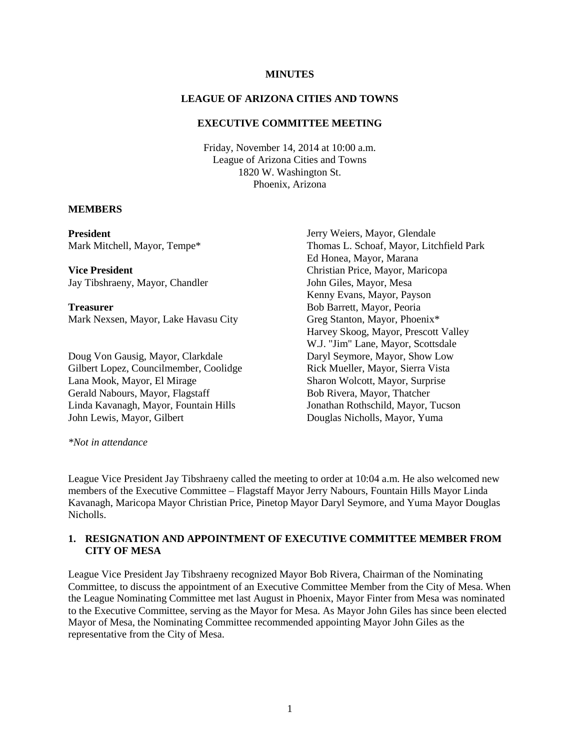#### **MINUTES**

#### **LEAGUE OF ARIZONA CITIES AND TOWNS**

#### **EXECUTIVE COMMITTEE MEETING**

Friday, November 14, 2014 at 10:00 a.m. League of Arizona Cities and Towns 1820 W. Washington St. Phoenix, Arizona

#### **MEMBERS**

**President** Mark Mitchell, Mayor, Tempe\*

**Vice President** Jay Tibshraeny, Mayor, Chandler

**Treasurer** Mark Nexsen, Mayor, Lake Havasu City

Doug Von Gausig, Mayor, Clarkdale Gilbert Lopez, Councilmember, Coolidge Lana Mook, Mayor, El Mirage Gerald Nabours, Mayor, Flagstaff Linda Kavanagh, Mayor, Fountain Hills John Lewis, Mayor, Gilbert

Jerry Weiers, Mayor, Glendale Thomas L. Schoaf, Mayor, Litchfield Park Ed Honea, Mayor, Marana Christian Price, Mayor, Maricopa John Giles, Mayor, Mesa Kenny Evans, Mayor, Payson Bob Barrett, Mayor, Peoria Greg Stanton, Mayor, Phoenix\* Harvey Skoog, Mayor, Prescott Valley W.J. "Jim" Lane, Mayor, Scottsdale Daryl Seymore, Mayor, Show Low Rick Mueller, Mayor, Sierra Vista Sharon Wolcott, Mayor, Surprise Bob Rivera, Mayor, Thatcher Jonathan Rothschild, Mayor, Tucson Douglas Nicholls, Mayor, Yuma

*\*Not in attendance* 

League Vice President Jay Tibshraeny called the meeting to order at 10:04 a.m. He also welcomed new members of the Executive Committee – Flagstaff Mayor Jerry Nabours, Fountain Hills Mayor Linda Kavanagh, Maricopa Mayor Christian Price, Pinetop Mayor Daryl Seymore, and Yuma Mayor Douglas Nicholls.

## **1. RESIGNATION AND APPOINTMENT OF EXECUTIVE COMMITTEE MEMBER FROM CITY OF MESA**

League Vice President Jay Tibshraeny recognized Mayor Bob Rivera, Chairman of the Nominating Committee, to discuss the appointment of an Executive Committee Member from the City of Mesa. When the League Nominating Committee met last August in Phoenix, Mayor Finter from Mesa was nominated to the Executive Committee, serving as the Mayor for Mesa. As Mayor John Giles has since been elected Mayor of Mesa, the Nominating Committee recommended appointing Mayor John Giles as the representative from the City of Mesa.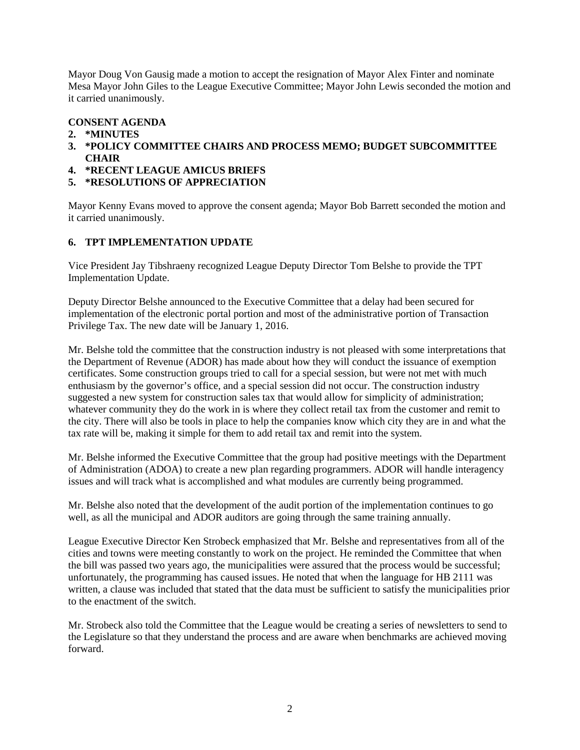Mayor Doug Von Gausig made a motion to accept the resignation of Mayor Alex Finter and nominate Mesa Mayor John Giles to the League Executive Committee; Mayor John Lewis seconded the motion and it carried unanimously.

# **CONSENT AGENDA**

- **2. \*MINUTES**
- **3. \*POLICY COMMITTEE CHAIRS AND PROCESS MEMO; BUDGET SUBCOMMITTEE CHAIR**
- **4. \*RECENT LEAGUE AMICUS BRIEFS**
- **5. \*RESOLUTIONS OF APPRECIATION**

Mayor Kenny Evans moved to approve the consent agenda; Mayor Bob Barrett seconded the motion and it carried unanimously.

# **6. TPT IMPLEMENTATION UPDATE**

Vice President Jay Tibshraeny recognized League Deputy Director Tom Belshe to provide the TPT Implementation Update.

Deputy Director Belshe announced to the Executive Committee that a delay had been secured for implementation of the electronic portal portion and most of the administrative portion of Transaction Privilege Tax. The new date will be January 1, 2016.

Mr. Belshe told the committee that the construction industry is not pleased with some interpretations that the Department of Revenue (ADOR) has made about how they will conduct the issuance of exemption certificates. Some construction groups tried to call for a special session, but were not met with much enthusiasm by the governor's office, and a special session did not occur. The construction industry suggested a new system for construction sales tax that would allow for simplicity of administration; whatever community they do the work in is where they collect retail tax from the customer and remit to the city. There will also be tools in place to help the companies know which city they are in and what the tax rate will be, making it simple for them to add retail tax and remit into the system.

Mr. Belshe informed the Executive Committee that the group had positive meetings with the Department of Administration (ADOA) to create a new plan regarding programmers. ADOR will handle interagency issues and will track what is accomplished and what modules are currently being programmed.

Mr. Belshe also noted that the development of the audit portion of the implementation continues to go well, as all the municipal and ADOR auditors are going through the same training annually.

League Executive Director Ken Strobeck emphasized that Mr. Belshe and representatives from all of the cities and towns were meeting constantly to work on the project. He reminded the Committee that when the bill was passed two years ago, the municipalities were assured that the process would be successful; unfortunately, the programming has caused issues. He noted that when the language for HB 2111 was written, a clause was included that stated that the data must be sufficient to satisfy the municipalities prior to the enactment of the switch.

Mr. Strobeck also told the Committee that the League would be creating a series of newsletters to send to the Legislature so that they understand the process and are aware when benchmarks are achieved moving forward.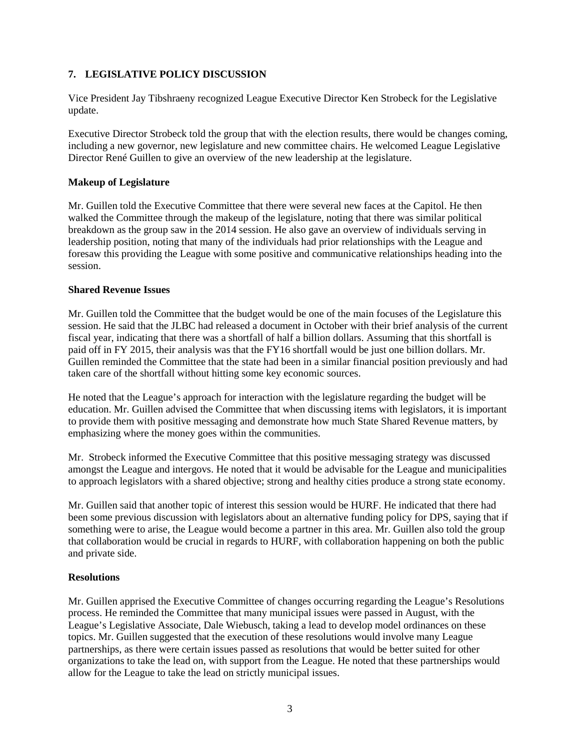## **7. LEGISLATIVE POLICY DISCUSSION**

Vice President Jay Tibshraeny recognized League Executive Director Ken Strobeck for the Legislative update.

Executive Director Strobeck told the group that with the election results, there would be changes coming, including a new governor, new legislature and new committee chairs. He welcomed League Legislative Director René Guillen to give an overview of the new leadership at the legislature.

## **Makeup of Legislature**

Mr. Guillen told the Executive Committee that there were several new faces at the Capitol. He then walked the Committee through the makeup of the legislature, noting that there was similar political breakdown as the group saw in the 2014 session. He also gave an overview of individuals serving in leadership position, noting that many of the individuals had prior relationships with the League and foresaw this providing the League with some positive and communicative relationships heading into the session.

### **Shared Revenue Issues**

Mr. Guillen told the Committee that the budget would be one of the main focuses of the Legislature this session. He said that the JLBC had released a document in October with their brief analysis of the current fiscal year, indicating that there was a shortfall of half a billion dollars. Assuming that this shortfall is paid off in FY 2015, their analysis was that the FY16 shortfall would be just one billion dollars. Mr. Guillen reminded the Committee that the state had been in a similar financial position previously and had taken care of the shortfall without hitting some key economic sources.

He noted that the League's approach for interaction with the legislature regarding the budget will be education. Mr. Guillen advised the Committee that when discussing items with legislators, it is important to provide them with positive messaging and demonstrate how much State Shared Revenue matters, by emphasizing where the money goes within the communities.

Mr. Strobeck informed the Executive Committee that this positive messaging strategy was discussed amongst the League and intergovs. He noted that it would be advisable for the League and municipalities to approach legislators with a shared objective; strong and healthy cities produce a strong state economy.

Mr. Guillen said that another topic of interest this session would be HURF. He indicated that there had been some previous discussion with legislators about an alternative funding policy for DPS, saying that if something were to arise, the League would become a partner in this area. Mr. Guillen also told the group that collaboration would be crucial in regards to HURF, with collaboration happening on both the public and private side.

### **Resolutions**

Mr. Guillen apprised the Executive Committee of changes occurring regarding the League's Resolutions process. He reminded the Committee that many municipal issues were passed in August, with the League's Legislative Associate, Dale Wiebusch, taking a lead to develop model ordinances on these topics. Mr. Guillen suggested that the execution of these resolutions would involve many League partnerships, as there were certain issues passed as resolutions that would be better suited for other organizations to take the lead on, with support from the League. He noted that these partnerships would allow for the League to take the lead on strictly municipal issues.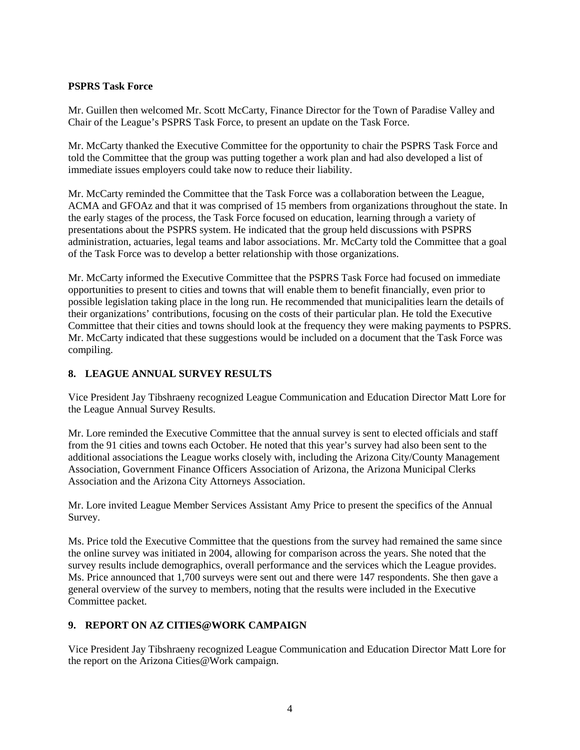## **PSPRS Task Force**

Mr. Guillen then welcomed Mr. Scott McCarty, Finance Director for the Town of Paradise Valley and Chair of the League's PSPRS Task Force, to present an update on the Task Force.

Mr. McCarty thanked the Executive Committee for the opportunity to chair the PSPRS Task Force and told the Committee that the group was putting together a work plan and had also developed a list of immediate issues employers could take now to reduce their liability.

Mr. McCarty reminded the Committee that the Task Force was a collaboration between the League, ACMA and GFOAz and that it was comprised of 15 members from organizations throughout the state. In the early stages of the process, the Task Force focused on education, learning through a variety of presentations about the PSPRS system. He indicated that the group held discussions with PSPRS administration, actuaries, legal teams and labor associations. Mr. McCarty told the Committee that a goal of the Task Force was to develop a better relationship with those organizations.

Mr. McCarty informed the Executive Committee that the PSPRS Task Force had focused on immediate opportunities to present to cities and towns that will enable them to benefit financially, even prior to possible legislation taking place in the long run. He recommended that municipalities learn the details of their organizations' contributions, focusing on the costs of their particular plan. He told the Executive Committee that their cities and towns should look at the frequency they were making payments to PSPRS. Mr. McCarty indicated that these suggestions would be included on a document that the Task Force was compiling.

## **8. LEAGUE ANNUAL SURVEY RESULTS**

Vice President Jay Tibshraeny recognized League Communication and Education Director Matt Lore for the League Annual Survey Results.

Mr. Lore reminded the Executive Committee that the annual survey is sent to elected officials and staff from the 91 cities and towns each October. He noted that this year's survey had also been sent to the additional associations the League works closely with, including the Arizona City/County Management Association, Government Finance Officers Association of Arizona, the Arizona Municipal Clerks Association and the Arizona City Attorneys Association.

Mr. Lore invited League Member Services Assistant Amy Price to present the specifics of the Annual Survey.

Ms. Price told the Executive Committee that the questions from the survey had remained the same since the online survey was initiated in 2004, allowing for comparison across the years. She noted that the survey results include demographics, overall performance and the services which the League provides. Ms. Price announced that 1,700 surveys were sent out and there were 147 respondents. She then gave a general overview of the survey to members, noting that the results were included in the Executive Committee packet.

# **9. REPORT ON AZ CITIES@WORK CAMPAIGN**

Vice President Jay Tibshraeny recognized League Communication and Education Director Matt Lore for the report on the Arizona Cities@Work campaign.